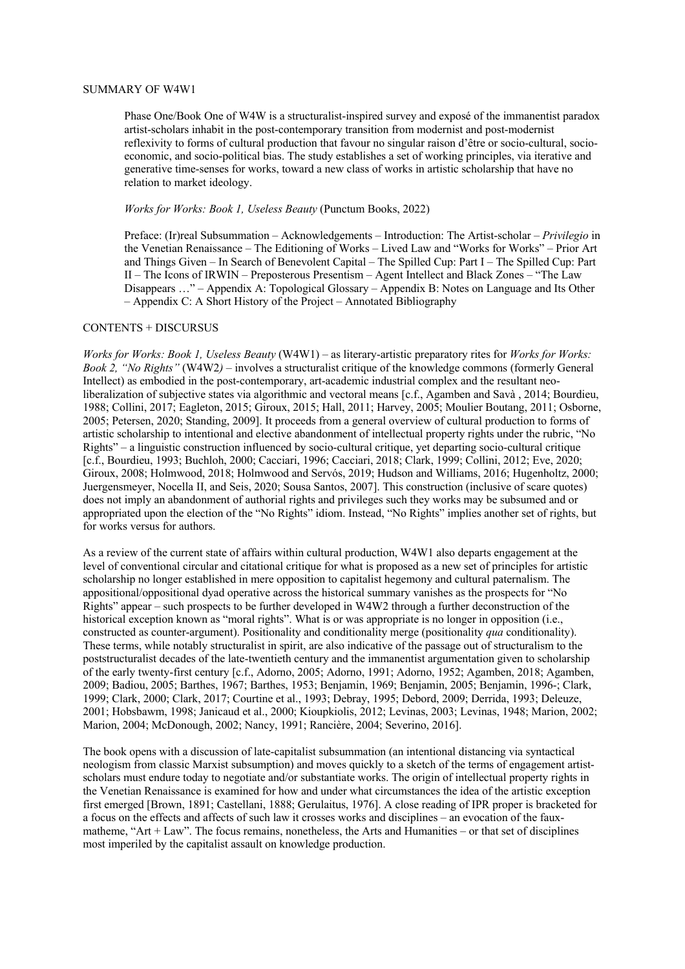## SUMMARY OF W4W1

Phase One/Book One of W4W is a structuralist-inspired survey and exposé of the immanentist paradox artist-scholars inhabit in the post-contemporary transition from modernist and post-modernist reflexivity to forms of cultural production that favour no singular raison d'être or socio-cultural, socioeconomic, and socio-political bias. The study establishes a set of working principles, via iterative and generative time-senses for works, toward a new class of works in artistic scholarship that have no relation to market ideology.

## *Works for Works: Book 1, Useless Beauty* (Punctum Books, 2022)

Preface: (Ir)real Subsummation – Acknowledgements – Introduction: The Artist-scholar – *Privilegio* in the Venetian Renaissance – The Editioning of Works – Lived Law and "Works for Works" – Prior Art and Things Given – In Search of Benevolent Capital – The Spilled Cup: Part I – The Spilled Cup: Part II – The Icons of IRWIN – Preposterous Presentism – Agent Intellect and Black Zones – "The Law Disappears …" – Appendix A: Topological Glossary – Appendix B: Notes on Language and Its Other – Appendix C: A Short History of the Project – Annotated Bibliography

## CONTENTS + DISCURSUS

*Works for Works: Book 1, Useless Beauty* (W4W1) – as literary-artistic preparatory rites for *Works for Works: Book 2, "No Rights"* (W4W2*)* – involves a structuralist critique of the knowledge commons (formerly General Intellect) as embodied in the post-contemporary, art-academic industrial complex and the resultant neoliberalization of subjective states via algorithmic and vectoral means [c.f., Agamben and Savà , 2014; Bourdieu, 1988; Collini, 2017; Eagleton, 2015; Giroux, 2015; Hall, 2011; Harvey, 2005; Moulier Boutang, 2011; Osborne, 2005; Petersen, 2020; Standing, 2009]. It proceeds from a general overview of cultural production to forms of artistic scholarship to intentional and elective abandonment of intellectual property rights under the rubric, "No Rights" – a linguistic construction influenced by socio-cultural critique, yet departing socio-cultural critique [c.f., Bourdieu, 1993; Buchloh, 2000; Cacciari, 1996; Cacciari, 2018; Clark, 1999; Collini, 2012; Eve, 2020; Giroux, 2008; Holmwood, 2018; Holmwood and Servós, 2019; Hudson and Williams, 2016; Hugenholtz, 2000; Juergensmeyer, Nocella II, and Seis, 2020; Sousa Santos, 2007]. This construction (inclusive of scare quotes) does not imply an abandonment of authorial rights and privileges such they works may be subsumed and or appropriated upon the election of the "No Rights" idiom. Instead, "No Rights" implies another set of rights, but for works versus for authors.

As a review of the current state of affairs within cultural production, W4W1 also departs engagement at the level of conventional circular and citational critique for what is proposed as a new set of principles for artistic scholarship no longer established in mere opposition to capitalist hegemony and cultural paternalism. The appositional/oppositional dyad operative across the historical summary vanishes as the prospects for "No Rights" appear – such prospects to be further developed in W4W2 through a further deconstruction of the historical exception known as "moral rights". What is or was appropriate is no longer in opposition (i.e., constructed as counter-argument). Positionality and conditionality merge (positionality *qua* conditionality). These terms, while notably structuralist in spirit, are also indicative of the passage out of structuralism to the poststructuralist decades of the late-twentieth century and the immanentist argumentation given to scholarship of the early twenty-first century [c.f., Adorno, 2005; Adorno, 1991; Adorno, 1952; Agamben, 2018; Agamben, 2009; Badiou, 2005; Barthes, 1967; Barthes, 1953; Benjamin, 1969; Benjamin, 2005; Benjamin, 1996-; Clark, 1999; Clark, 2000; Clark, 2017; Courtine et al., 1993; Debray, 1995; Debord, 2009; Derrida, 1993; Deleuze, 2001; Hobsbawm, 1998; Janicaud et al., 2000; Kioupkiolis, 2012; Levinas, 2003; Levinas, 1948; Marion, 2002; Marion, 2004; McDonough, 2002; Nancy, 1991; Rancière, 2004; Severino, 2016].

The book opens with a discussion of late-capitalist subsummation (an intentional distancing via syntactical neologism from classic Marxist subsumption) and moves quickly to a sketch of the terms of engagement artistscholars must endure today to negotiate and/or substantiate works. The origin of intellectual property rights in the Venetian Renaissance is examined for how and under what circumstances the idea of the artistic exception first emerged [Brown, 1891; Castellani, 1888; Gerulaitus, 1976]. A close reading of IPR proper is bracketed for a focus on the effects and affects of such law it crosses works and disciplines – an evocation of the fauxmatheme, "Art + Law". The focus remains, nonetheless, the Arts and Humanities – or that set of disciplines most imperiled by the capitalist assault on knowledge production.